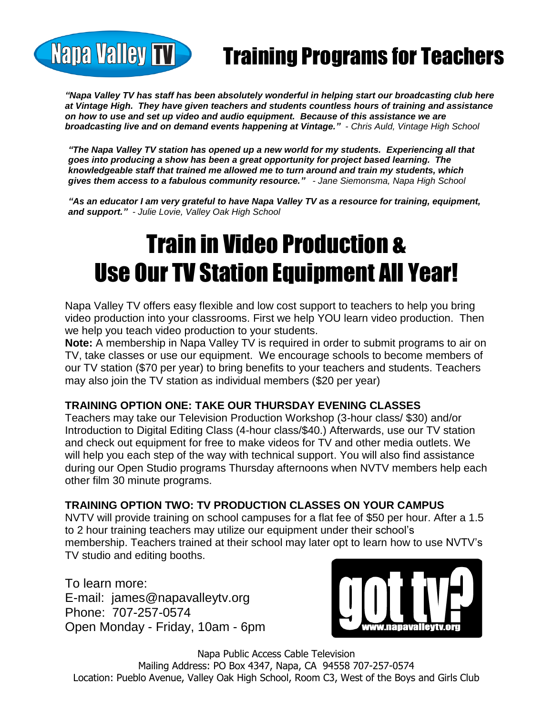## Training Programs for Teachers

*"Napa Valley TV has staff has been absolutely wonderful in helping start our broadcasting club here at Vintage High. They have given teachers and students countless hours of training and assistance on how to use and set up video and audio equipment. Because of this assistance we are broadcasting live and on demand events happening at Vintage." - Chris Auld, Vintage High School*

*"The Napa Valley TV station has opened up a new world for my students. Experiencing all that goes into producing a show has been a great opportunity for project based learning. The knowledgeable staff that trained me allowed me to turn around and train my students, which gives them access to a fabulous community resource." - Jane Siemonsma, Napa High School*

*"As an educator I am very grateful to have Napa Valley TV as a resource for training, equipment, and support." - Julie Lovie, Valley Oak High School*

# Train in Video Production & Use Our TV Station Equipment All Year!

Napa Valley TV offers easy flexible and low cost support to teachers to help you bring video production into your classrooms. First we help YOU learn video production. Then we help you teach video production to your students.

**Note:** A membership in Napa Valley TV is required in order to submit programs to air on TV, take classes or use our equipment. We encourage schools to become members of our TV station (\$70 per year) to bring benefits to your teachers and students. Teachers may also join the TV station as individual members (\$20 per year)

#### **TRAINING OPTION ONE: TAKE OUR THURSDAY EVENING CLASSES**

Teachers may take our Television Production Workshop (3-hour class/ \$30) and/or Introduction to Digital Editing Class (4-hour class/\$40.) Afterwards, use our TV station and check out equipment for free to make videos for TV and other media outlets. We will help you each step of the way with technical support. You will also find assistance during our Open Studio programs Thursday afternoons when NVTV members help each other film 30 minute programs.

#### **TRAINING OPTION TWO: TV PRODUCTION CLASSES ON YOUR CAMPUS**

NVTV will provide training on school campuses for a flat fee of \$50 per hour. After a 1.5 to 2 hour training teachers may utilize our equipment under their school's membership. Teachers trained at their school may later opt to learn how to use NVTV's TV studio and editing booths.

To learn more: E-mail: james@napavalleytv.org Phone: 707-257-0574 Open Monday - Friday, 10am - 6pm

**Napa Valley TV** 



Napa Public Access Cable Television Mailing Address: PO Box 4347, Napa, CA 94558 707-257-0574 Location: Pueblo Avenue, Valley Oak High School, Room C3, West of the Boys and Girls Club